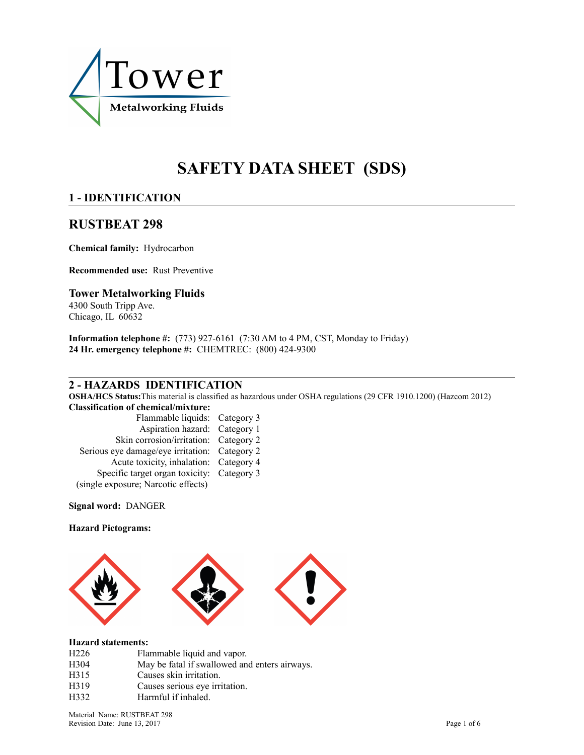

# **SAFETY DATA SHEET (SDS)**

# **1 - IDENTIFICATION**

# **RUSTBEAT 298**

**Chemical family:** Hydrocarbon

**Recommended use:** Rust Preventive

### **Tower Metalworking Fluids**

4300 South Tripp Ave. Chicago, IL 60632

**Information telephone #:** (773) 927-6161 (7:30 AM to 4 PM, CST, Monday to Friday) **24 Hr. emergency telephone #:** CHEMTREC: (800) 424-9300

### **2 - HAZARDS IDENTIFICATION**

**OSHA/HCS Status:**This material is classified as hazardous under OSHA regulations (29 CFR 1910.1200) (Hazcom 2012) **Classification of chemical/mixture:** 

| лазмисации и спениса/нилци с.                 |  |
|-----------------------------------------------|--|
| Flammable liquids: Category 3                 |  |
| Aspiration hazard: Category 1                 |  |
| Skin corrosion/irritation: Category 2         |  |
| Serious eye damage/eye irritation: Category 2 |  |
| Acute toxicity, inhalation: Category 4        |  |
| Specific target organ toxicity: Category 3    |  |
| (single exposure; Narcotic effects)           |  |
|                                               |  |

**Signal word:** DANGER

#### **Hazard Pictograms:**



#### **Hazard statements:**

| H <sub>226</sub> | Flammable liquid and vapor.                   |
|------------------|-----------------------------------------------|
| H <sub>304</sub> | May be fatal if swallowed and enters airways. |
| H315             | Causes skin irritation.                       |
| H319             | Causes serious eye irritation.                |
| H332             | Harmful if inhaled.                           |
|                  |                                               |

Material Name: RUSTBEAT 298 Revision Date: June 13, 2017 Page 1 of 6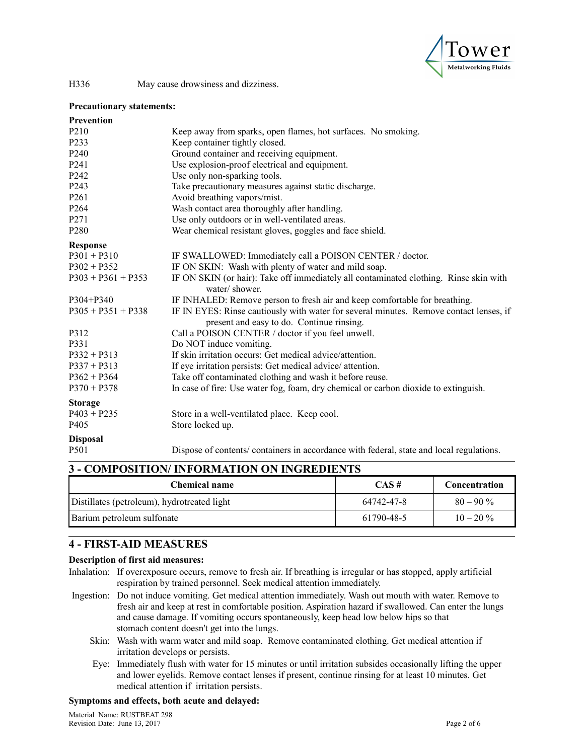

#### **Precautionary statements:**

| <b>Prevention</b>    |                                                                                                                                     |
|----------------------|-------------------------------------------------------------------------------------------------------------------------------------|
| P <sub>2</sub> 10    | Keep away from sparks, open flames, hot surfaces. No smoking.                                                                       |
| P233                 | Keep container tightly closed.                                                                                                      |
| P240                 | Ground container and receiving equipment.                                                                                           |
| P241                 | Use explosion-proof electrical and equipment.                                                                                       |
| P242                 | Use only non-sparking tools.                                                                                                        |
| P243                 | Take precautionary measures against static discharge.                                                                               |
| P261                 | Avoid breathing vapors/mist.                                                                                                        |
| P264                 | Wash contact area thoroughly after handling.                                                                                        |
| P271                 | Use only outdoors or in well-ventilated areas.                                                                                      |
| P <sub>280</sub>     | Wear chemical resistant gloves, goggles and face shield.                                                                            |
| <b>Response</b>      |                                                                                                                                     |
| $P301 + P310$        | IF SWALLOWED: Immediately call a POISON CENTER / doctor.                                                                            |
| $P302 + P352$        | IF ON SKIN: Wash with plenty of water and mild soap.                                                                                |
| $P303 + P361 + P353$ | IF ON SKIN (or hair): Take off immediately all contaminated clothing. Rinse skin with<br>water/shower.                              |
| P304+P340            | IF INHALED: Remove person to fresh air and keep comfortable for breathing.                                                          |
| $P305 + P351 + P338$ | IF IN EYES: Rinse cautiously with water for several minutes. Remove contact lenses, if<br>present and easy to do. Continue rinsing. |
| P312                 | Call a POISON CENTER / doctor if you feel unwell.                                                                                   |
| P331                 | Do NOT induce vomiting.                                                                                                             |
| $P332 + P313$        | If skin irritation occurs: Get medical advice/attention.                                                                            |
| $P337 + P313$        | If eye irritation persists: Get medical advice/attention.                                                                           |
| $P362 + P364$        | Take off contaminated clothing and wash it before reuse.                                                                            |
| $P370 + P378$        | In case of fire: Use water fog, foam, dry chemical or carbon dioxide to extinguish.                                                 |
| <b>Storage</b>       |                                                                                                                                     |
| $P403 + P235$        | Store in a well-ventilated place. Keep cool.                                                                                        |
| P <sub>405</sub>     | Store locked up.                                                                                                                    |
| <b>Disposal</b>      |                                                                                                                                     |
| P501                 | Dispose of contents/ containers in accordance with federal, state and local regulations.                                            |

# **3 - COMPOSITION/ INFORMATION ON INGREDIENTS**

| <b>Chemical name</b>                        | CAS#       | Concentration |
|---------------------------------------------|------------|---------------|
| Distillates (petroleum), hydrotreated light | 64742-47-8 | $80 - 90\%$   |
| Barium petroleum sulfonate                  | 61790-48-5 | $10 - 20 \%$  |

### **4 - FIRST-AID MEASURES**

### **Description of first aid measures:**

- Inhalation: If overexposure occurs, remove to fresh air. If breathing is irregular or has stopped, apply artificial respiration by trained personnel. Seek medical attention immediately.
- Ingestion: Do not induce vomiting. Get medical attention immediately. Wash out mouth with water. Remove to fresh air and keep at rest in comfortable position. Aspiration hazard if swallowed. Can enter the lungs and cause damage. If vomiting occurs spontaneously, keep head low below hips so that stomach content doesn't get into the lungs.
	- Skin: Wash with warm water and mild soap. Remove contaminated clothing. Get medical attention if irritation develops or persists.
	- Eye: Immediately flush with water for 15 minutes or until irritation subsides occasionally lifting the upper and lower eyelids. Remove contact lenses if present, continue rinsing for at least 10 minutes. Get medical attention if irritation persists.

#### **Symptoms and effects, both acute and delayed:**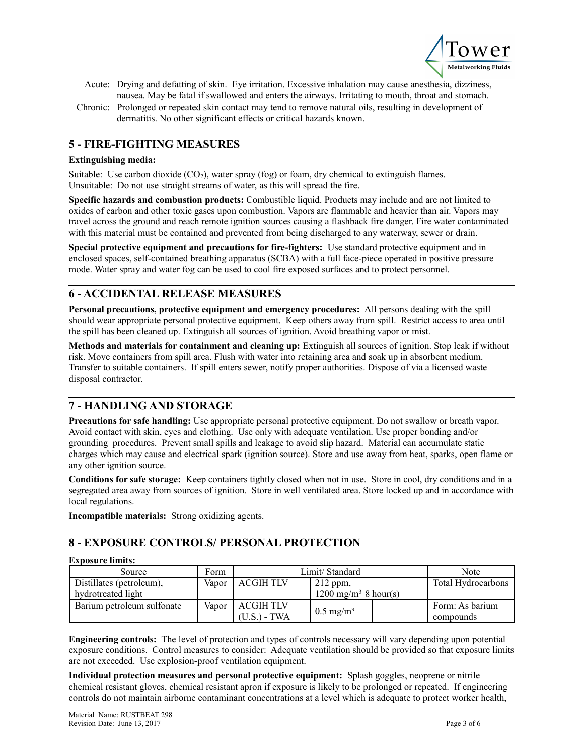

- Acute: Drying and defatting of skin. Eye irritation. Excessive inhalation may cause anesthesia, dizziness, nausea. May be fatal if swallowed and enters the airways. Irritating to mouth, throat and stomach.
- Chronic: Prolonged or repeated skin contact may tend to remove natural oils, resulting in development of dermatitis. No other significant effects or critical hazards known.

### **5 - FIRE-FIGHTING MEASURES**

#### **Extinguishing media:**

Suitable: Use carbon dioxide  $(CO<sub>2</sub>)$ , water spray (fog) or foam, dry chemical to extinguish flames. Unsuitable: Do not use straight streams of water, as this will spread the fire.

**Specific hazards and combustion products:** Combustible liquid. Products may include and are not limited to oxides of carbon and other toxic gases upon combustion. Vapors are flammable and heavier than air. Vapors may travel across the ground and reach remote ignition sources causing a flashback fire danger. Fire water contaminated with this material must be contained and prevented from being discharged to any waterway, sewer or drain.

**Special protective equipment and precautions for fire-fighters:** Use standard protective equipment and in enclosed spaces, self-contained breathing apparatus (SCBA) with a full face-piece operated in positive pressure mode. Water spray and water fog can be used to cool fire exposed surfaces and to protect personnel.

### **6 - ACCIDENTAL RELEASE MEASURES**

**Personal precautions, protective equipment and emergency procedures:** All persons dealing with the spill should wear appropriate personal protective equipment. Keep others away from spill. Restrict access to area until the spill has been cleaned up. Extinguish all sources of ignition. Avoid breathing vapor or mist.

**Methods and materials for containment and cleaning up:** Extinguish all sources of ignition. Stop leak if without risk. Move containers from spill area. Flush with water into retaining area and soak up in absorbent medium. Transfer to suitable containers. If spill enters sewer, notify proper authorities. Dispose of via a licensed waste disposal contractor.

### **7 - HANDLING AND STORAGE**

**Precautions for safe handling:** Use appropriate personal protective equipment. Do not swallow or breath vapor. Avoid contact with skin, eyes and clothing. Use only with adequate ventilation. Use proper bonding and/or grounding procedures. Prevent small spills and leakage to avoid slip hazard. Material can accumulate static charges which may cause and electrical spark (ignition source). Store and use away from heat, sparks, open flame or any other ignition source.

**Conditions for safe storage:** Keep containers tightly closed when not in use. Store in cool, dry conditions and in a segregated area away from sources of ignition. Store in well ventilated area. Store locked up and in accordance with local regulations.

**Incompatible materials:** Strong oxidizing agents.

### **8 - EXPOSURE CONTROLS/ PERSONAL PROTECTION**

#### **Exposure limits:**

| Source                     | Form  | Limit/Standard   | Note                             |                           |
|----------------------------|-------|------------------|----------------------------------|---------------------------|
| Distillates (petroleum),   | Vapor | <b>ACGIH TLV</b> | $212$ ppm,                       | <b>Total Hydrocarbons</b> |
| hydrotreated light         |       |                  | 1200 mg/m <sup>3</sup> 8 hour(s) |                           |
| Barium petroleum sulfonate | Vapor | <b>ACGIHTLV</b>  | $0.5 \text{ mg/m}^3$             | Form: As barium           |
|                            |       | (U.S.) - TWA     |                                  | compounds                 |

**Engineering controls:** The level of protection and types of controls necessary will vary depending upon potential exposure conditions. Control measures to consider: Adequate ventilation should be provided so that exposure limits are not exceeded. Use explosion-proof ventilation equipment.

**Individual protection measures and personal protective equipment:** Splash goggles, neoprene or nitrile chemical resistant gloves, chemical resistant apron if exposure is likely to be prolonged or repeated. If engineering controls do not maintain airborne contaminant concentrations at a level which is adequate to protect worker health,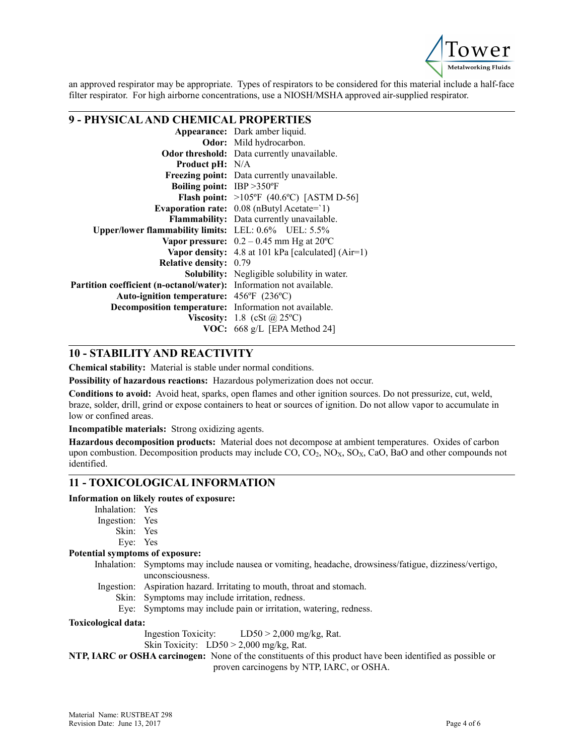

an approved respirator may be appropriate. Types of respirators to be considered for this material include a half-face filter respirator. For high airborne concentrations, use a NIOSH/MSHA approved air-supplied respirator.

# **9 - PHYSICAL AND CHEMICAL PROPERTIES**

|                                                                     | Appearance: Dark amber liquid.                           |  |
|---------------------------------------------------------------------|----------------------------------------------------------|--|
|                                                                     | Odor: Mild hydrocarbon.                                  |  |
|                                                                     | <b>Odor threshold:</b> Data currently unavailable.       |  |
| <b>Product pH:</b> N/A                                              |                                                          |  |
|                                                                     | <b>Freezing point:</b> Data currently unavailable.       |  |
| <b>Boiling point:</b> IBP > 350°F                                   |                                                          |  |
|                                                                     | <b>Flash point:</b> $>105^{\circ}F$ (40.6°C) [ASTM D-56] |  |
|                                                                     | Evaporation rate: $0.08$ (nButyl Acetate= $1$ )          |  |
|                                                                     | Flammability: Data currently unavailable.                |  |
| Upper/lower flammability limits: LEL: 0.6% UEL: 5.5%                |                                                          |  |
|                                                                     | Vapor pressure: $0.2 - 0.45$ mm Hg at 20 °C              |  |
|                                                                     | Vapor density: $4.8$ at 101 kPa [calculated] (Air=1)     |  |
| <b>Relative density:</b>                                            | 0.79                                                     |  |
|                                                                     | <b>Solubility:</b> Negligible solubility in water.       |  |
| Partition coefficient (n-octanol/water): Information not available. |                                                          |  |
| Auto-ignition temperature: 456°F (236°C)                            |                                                          |  |
| Decomposition temperature: Information not available.               |                                                          |  |
|                                                                     | Viscosity: 1.8 (cSt $\omega$ 25°C)                       |  |
|                                                                     | <b>VOC:</b> 668 g/L [EPA Method 24]                      |  |
|                                                                     |                                                          |  |

### **10 - STABILITY AND REACTIVITY**

**Chemical stability:** Material is stable under normal conditions.

**Possibility of hazardous reactions:** Hazardous polymerization does not occur.

**Conditions to avoid:** Avoid heat, sparks, open flames and other ignition sources. Do not pressurize, cut, weld, braze, solder, drill, grind or expose containers to heat or sources of ignition. Do not allow vapor to accumulate in low or confined areas.

**Incompatible materials:** Strong oxidizing agents.

**Hazardous decomposition products:** Material does not decompose at ambient temperatures. Oxides of carbon upon combustion. Decomposition products may include  $CO$ ,  $CO_2$ ,  $NO<sub>X</sub>$ ,  $SO<sub>X</sub>$ ,  $CaO$ , BaO and other compounds not identified.

### **11 - TOXICOLOGICAL INFORMATION**

### **Information on likely routes of exposure:**

- Inhalation: Yes Ingestion: Yes
	- - Skin: Yes Eye: Yes

### **Potential symptoms of exposure:**

- Inhalation: Symptoms may include nausea or vomiting, headache, drowsiness/fatigue, dizziness/vertigo, unconsciousness.
	- Ingestion: Aspiration hazard. Irritating to mouth, throat and stomach.
		- Skin: Symptoms may include irritation, redness.
		- Eye: Symptoms may include pain or irritation, watering, redness.

#### **Toxicological data:**

Ingestion Toxicity: LD50 > 2,000 mg/kg, Rat.

Skin Toxicity: LD50 > 2,000 mg/kg, Rat.

**NTP, IARC or OSHA carcinogen:** None of the constituents of this product have been identified as possible or proven carcinogens by NTP, IARC, or OSHA.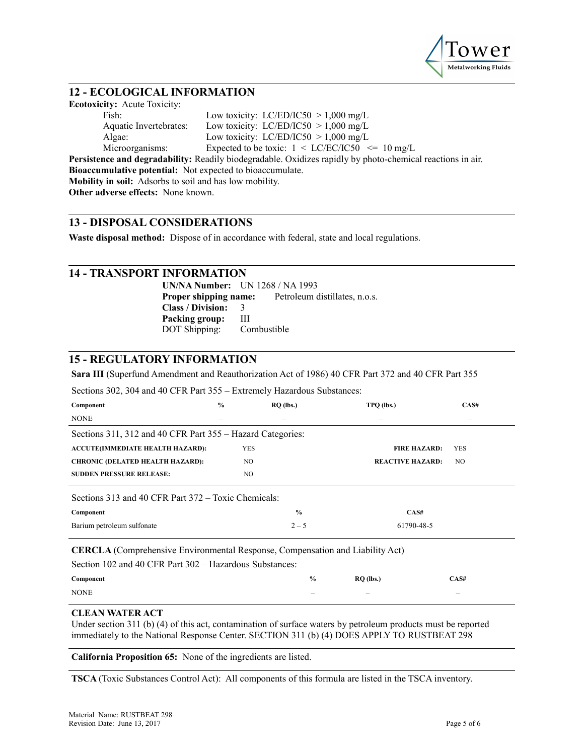

### **12 - ECOLOGICAL INFORMATION**

**Ecotoxicity:** Acute Toxicity: Fish: Low toxicity:  $LC/ED/IC50 > 1,000$  mg/L Aquatic Invertebrates: Low toxicity: LC/ED/IC50 > 1,000 mg/L Algae: Low toxicity:  $LC/ED/IC50 > 1,000$  mg/L Microorganisms: Expected to be toxic:  $1 \le LC/EC/IC50 \le 10$  mg/L **Persistence and degradability:** Readily biodegradable. Oxidizes rapidly by photo-chemical reactions in air. **Bioaccumulative potential:** Not expected to bioaccumulate. **Mobility in soil:** Adsorbs to soil and has low mobility. **Other adverse effects:** None known.

### **13 - DISPOSAL CONSIDERATIONS**

**Waste disposal method:** Dispose of in accordance with federal, state and local regulations.

### **14 - TRANSPORT INFORMATION**

**UN/NA Number:** UN 1268 / NA 1993 **Proper shipping name:** Petroleum distillates, n.o.s. **Class / Division:** 3 **Packing group:** III DOT Shipping: Combustible

### **15 - REGULATORY INFORMATION**

**Sara III** (Superfund Amendment and Reauthorization Act of 1986) 40 CFR Part 372 and 40 CFR Part 355

Sections 302, 304 and 40 CFR Part 355 – Extremely Hazardous Substances:

| Component                                                  | $\frac{0}{0}$ | $RQ$ (lbs.) | TPO (lbs.)              | CAS#       |  |
|------------------------------------------------------------|---------------|-------------|-------------------------|------------|--|
| <b>NONE</b>                                                | -             |             | -                       | -          |  |
| Sections 311, 312 and 40 CFR Part 355 – Hazard Categories: |               |             |                         |            |  |
| <b>ACCUTE(IMMEDIATE HEALTH HAZARD):</b>                    |               | YES         | <b>FIRE HAZARD:</b>     | <b>YES</b> |  |
| <b>CHRONIC (DELATED HEALTH HAZARD):</b>                    |               | NO.         | <b>REACTIVE HAZARD:</b> | NO.        |  |
| <b>SUDDEN PRESSURE RELEASE:</b>                            |               | NO          |                         |            |  |
|                                                            |               |             |                         |            |  |

Sections 313 and 40 CFR Part 372 – Toxic Chemicals:

| Component                  |         | CAS#       |
|----------------------------|---------|------------|
| Barium petroleum sulfonate | $2 - 5$ | 61790-48-5 |

**CERCLA** (Comprehensive Environmental Response, Compensation and Liability Act)

| Section 102 and 40 CFR Part 302 – Hazardous Substances: |               |             |      |  |  |
|---------------------------------------------------------|---------------|-------------|------|--|--|
| Component                                               | $\frac{6}{9}$ | $RO$ (lbs.) | CAS# |  |  |
| <b>NONE</b>                                             | -             | -           | -    |  |  |

#### **CLEAN WATER ACT**

Under section 311 (b) (4) of this act, contamination of surface waters by petroleum products must be reported immediately to the National Response Center. SECTION 311 (b) (4) DOES APPLY TO RUSTBEAT 298

**California Proposition 65:** None of the ingredients are listed.

**TSCA** (Toxic Substances Control Act): All components of this formula are listed in the TSCA inventory.